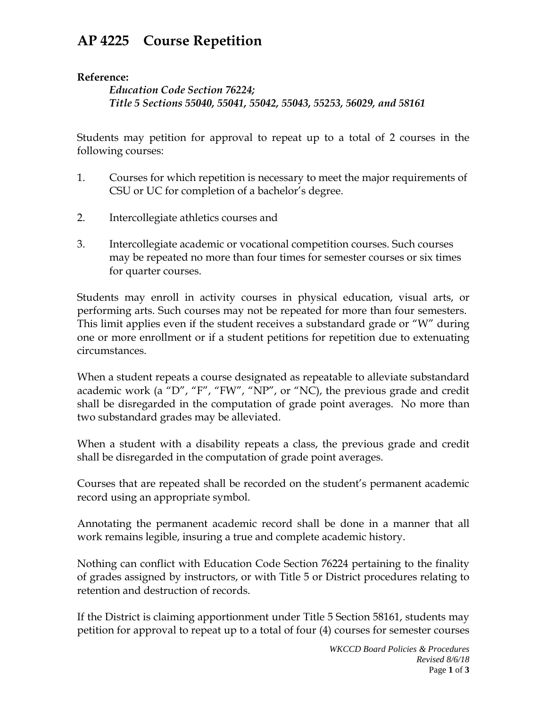## **AP 4225 Course Repetition**

## **Reference:**

*Education Code Section 76224; Title 5 Sections 55040, 55041, 55042, 55043, 55253, 56029, and 58161* 

Students may petition for approval to repeat up to a total of 2 courses in the following courses:

- 1. Courses for which repetition is necessary to meet the major requirements of CSU or UC for completion of a bachelor's degree.
- 2. Intercollegiate athletics courses and
- 3. Intercollegiate academic or vocational competition courses. Such courses may be repeated no more than four times for semester courses or six times for quarter courses.

Students may enroll in activity courses in physical education, visual arts, or performing arts. Such courses may not be repeated for more than four semesters. This limit applies even if the student receives a substandard grade or "W" during one or more enrollment or if a student petitions for repetition due to extenuating circumstances.

When a student repeats a course designated as repeatable to alleviate substandard academic work (a "D", "F", "FW", "NP", or "NC), the previous grade and credit shall be disregarded in the computation of grade point averages. No more than two substandard grades may be alleviated.

When a student with a disability repeats a class, the previous grade and credit shall be disregarded in the computation of grade point averages.

Courses that are repeated shall be recorded on the student's permanent academic record using an appropriate symbol.

Annotating the permanent academic record shall be done in a manner that all work remains legible, insuring a true and complete academic history.

Nothing can conflict with Education Code Section 76224 pertaining to the finality of grades assigned by instructors, or with Title 5 or District procedures relating to retention and destruction of records.

If the District is claiming apportionment under Title 5 Section 58161, students may petition for approval to repeat up to a total of four (4) courses for semester courses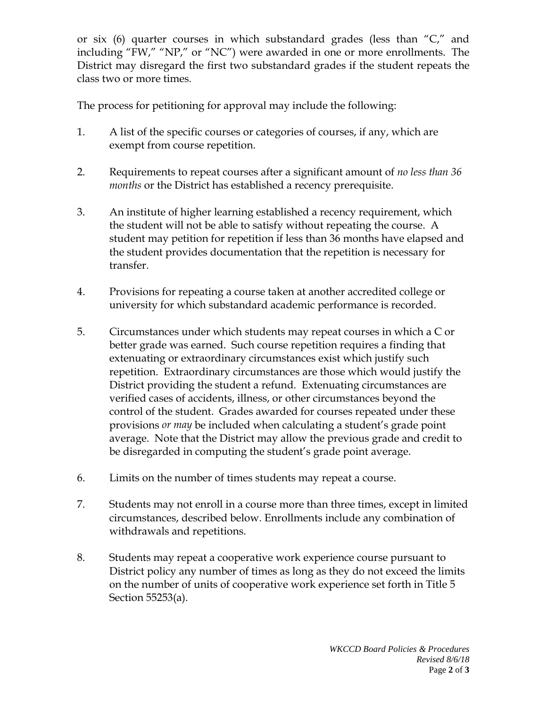or six (6) quarter courses in which substandard grades (less than "C," and including "FW," "NP," or "NC") were awarded in one or more enrollments. The District may disregard the first two substandard grades if the student repeats the class two or more times.

The process for petitioning for approval may include the following:

- 1. A list of the specific courses or categories of courses, if any, which are exempt from course repetition.
- 2. Requirements to repeat courses after a significant amount of *no less than 36 months* or the District has established a recency prerequisite.
- 3. An institute of higher learning established a recency requirement, which the student will not be able to satisfy without repeating the course. A student may petition for repetition if less than 36 months have elapsed and the student provides documentation that the repetition is necessary for transfer.
- 4. Provisions for repeating a course taken at another accredited college or university for which substandard academic performance is recorded.
- 5. Circumstances under which students may repeat courses in which a C or better grade was earned. Such course repetition requires a finding that extenuating or extraordinary circumstances exist which justify such repetition. Extraordinary circumstances are those which would justify the District providing the student a refund. Extenuating circumstances are verified cases of accidents, illness, or other circumstances beyond the control of the student. Grades awarded for courses repeated under these provisions *or may* be included when calculating a student's grade point average. Note that the District may allow the previous grade and credit to be disregarded in computing the student's grade point average.
- 6. Limits on the number of times students may repeat a course.
- 7. Students may not enroll in a course more than three times, except in limited circumstances, described below. Enrollments include any combination of withdrawals and repetitions.
- 8. Students may repeat a cooperative work experience course pursuant to District policy any number of times as long as they do not exceed the limits on the number of units of cooperative work experience set forth in Title 5 Section 55253(a).